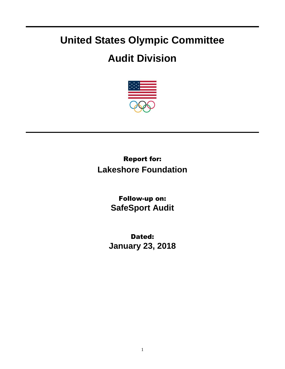## **United States Olympic Committee**

## **Audit Division**



Report for: **Lakeshore Foundation**

> Follow-up on: **SafeSport Audit**

Dated: **January 23, 2018**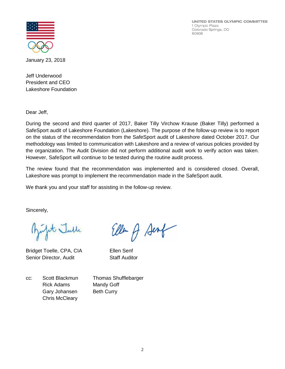UNITED STATES OLYMPIC COMMITTEE 1 Olympic Plaza Colorado Springs, CO 80909



January 23, 2018

Jeff Underwood President and CEO Lakeshore Foundation

Dear Jeff,

During the second and third quarter of 2017, Baker Tilly Virchow Krause (Baker Tilly) performed a SafeSport audit of Lakeshore Foundation (Lakeshore). The purpose of the follow-up review is to report on the status of the recommendation from the SafeSport audit of Lakeshore dated October 2017. Our methodology was limited to communication with Lakeshore and a review of various policies provided by the organization. The Audit Division did not perform additional audit work to verify action was taken. However, SafeSport will continue to be tested during the routine audit process.

The review found that the recommendation was implemented and is considered closed. Overall, Lakeshore was prompt to implement the recommendation made in the SafeSport audit.

We thank you and your staff for assisting in the follow-up review.

Sincerely,

fit Julle

Bridget Toelle, CPA, CIA Ellen Senf Senior Director, Audit Staff Auditor

Ellen A Senf

cc: Scott Blackmun Thomas Shufflebarger Rick Adams Mandy Goff Gary Johansen Beth Curry Chris McCleary